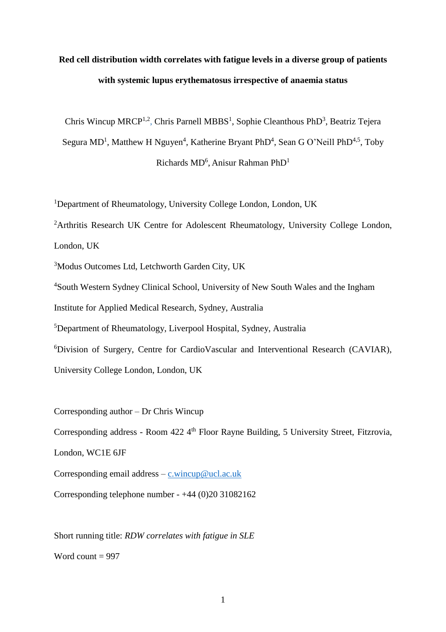# **Red cell distribution width correlates with fatigue levels in a diverse group of patients with systemic lupus erythematosus irrespective of anaemia status**

Chris Wincup MRCP<sup>1,2</sup>, Chris Parnell MBBS<sup>1</sup>, Sophie Cleanthous PhD<sup>3</sup>, Beatriz Tejera Segura MD<sup>1</sup>, Matthew H Nguyen<sup>4</sup>, Katherine Bryant PhD<sup>4</sup>, Sean G O'Neill PhD<sup>4,5</sup>, Toby Richards  $MD<sup>6</sup>$ , Anisur Rahman Ph $D<sup>1</sup>$ 

<sup>1</sup>Department of Rheumatology, University College London, London, UK

<sup>2</sup>Arthritis Research UK Centre for Adolescent Rheumatology, University College London, London, UK

<sup>3</sup>Modus Outcomes Ltd, Letchworth Garden City, UK

<sup>4</sup>South Western Sydney Clinical School, University of New South Wales and the Ingham

Institute for Applied Medical Research, Sydney, Australia

<sup>5</sup>Department of Rheumatology, Liverpool Hospital, Sydney, Australia

<sup>6</sup>Division of Surgery, Centre for CardioVascular and Interventional Research (CAVIAR),

University College London, London, UK

Corresponding author – Dr Chris Wincup Corresponding address - Room 422 4<sup>th</sup> Floor Rayne Building, 5 University Street, Fitzrovia, London, WC1E 6JF Corresponding email address – [c.wincup@ucl.ac.uk](mailto:c.wincup@ucl.ac.uk)

Corresponding telephone number - +44 (0)20 31082162

Short running title: *RDW correlates with fatigue in SLE* Word count  $= 997$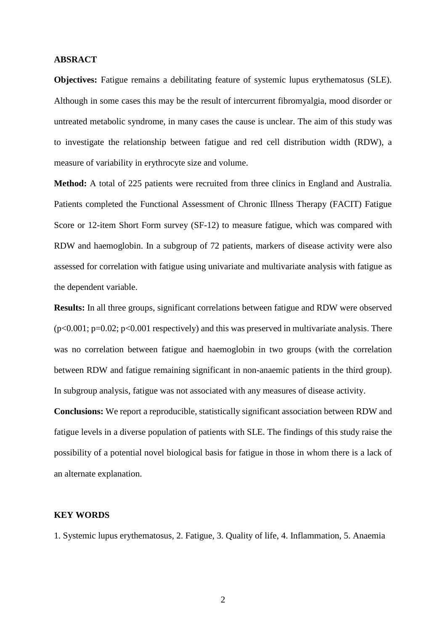# **ABSRACT**

**Objectives:** Fatigue remains a debilitating feature of systemic lupus erythematosus (SLE). Although in some cases this may be the result of intercurrent fibromyalgia, mood disorder or untreated metabolic syndrome, in many cases the cause is unclear. The aim of this study was to investigate the relationship between fatigue and red cell distribution width (RDW), a measure of variability in erythrocyte size and volume.

**Method:** A total of 225 patients were recruited from three clinics in England and Australia. Patients completed the Functional Assessment of Chronic Illness Therapy (FACIT) Fatigue Score or 12-item Short Form survey (SF-12) to measure fatigue, which was compared with RDW and haemoglobin. In a subgroup of 72 patients, markers of disease activity were also assessed for correlation with fatigue using univariate and multivariate analysis with fatigue as the dependent variable.

**Results:** In all three groups, significant correlations between fatigue and RDW were observed  $(p<0.001; p=0.02; p<0.001$  respectively) and this was preserved in multivariate analysis. There was no correlation between fatigue and haemoglobin in two groups (with the correlation between RDW and fatigue remaining significant in non-anaemic patients in the third group). In subgroup analysis, fatigue was not associated with any measures of disease activity.

**Conclusions:** We report a reproducible, statistically significant association between RDW and fatigue levels in a diverse population of patients with SLE. The findings of this study raise the possibility of a potential novel biological basis for fatigue in those in whom there is a lack of an alternate explanation.

# **KEY WORDS**

1. Systemic lupus erythematosus, 2. Fatigue, 3. Quality of life, 4. Inflammation, 5. Anaemia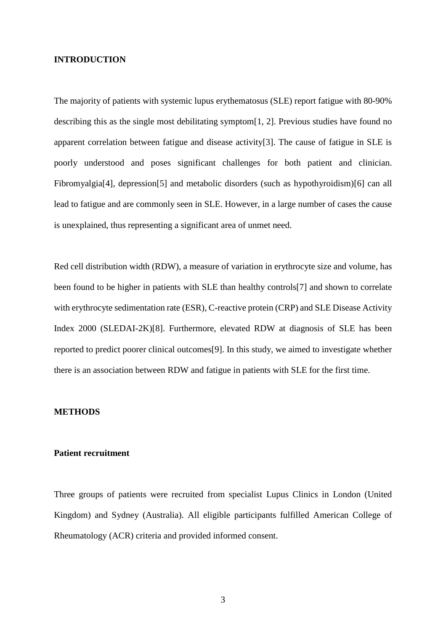#### **INTRODUCTION**

The majority of patients with systemic lupus erythematosus (SLE) report fatigue with 80-90% describing this as the single most debilitating symptom[1, 2]. Previous studies have found no apparent correlation between fatigue and disease activity[3]. The cause of fatigue in SLE is poorly understood and poses significant challenges for both patient and clinician. Fibromyalgia<sup>[4]</sup>, depression<sup>[5]</sup> and metabolic disorders (such as hypothyroidism)<sup>[6]</sup> can all lead to fatigue and are commonly seen in SLE. However, in a large number of cases the cause is unexplained, thus representing a significant area of unmet need.

Red cell distribution width (RDW), a measure of variation in erythrocyte size and volume, has been found to be higher in patients with SLE than healthy controls[7] and shown to correlate with erythrocyte sedimentation rate (ESR), C-reactive protein (CRP) and SLE Disease Activity Index 2000 (SLEDAI-2K)[8]. Furthermore, elevated RDW at diagnosis of SLE has been reported to predict poorer clinical outcomes[9]. In this study, we aimed to investigate whether there is an association between RDW and fatigue in patients with SLE for the first time.

#### **METHODS**

#### **Patient recruitment**

Three groups of patients were recruited from specialist Lupus Clinics in London (United Kingdom) and Sydney (Australia). All eligible participants fulfilled American College of Rheumatology (ACR) criteria and provided informed consent.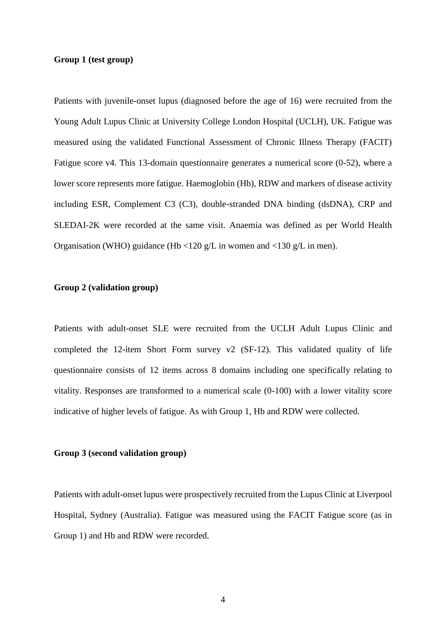#### **Group 1 (test group)**

Patients with juvenile-onset lupus (diagnosed before the age of 16) were recruited from the Young Adult Lupus Clinic at University College London Hospital (UCLH), UK. Fatigue was measured using the validated Functional Assessment of Chronic Illness Therapy (FACIT) Fatigue score v4. This 13-domain questionnaire generates a numerical score (0-52), where a lower score represents more fatigue. Haemoglobin (Hb), RDW and markers of disease activity including ESR, Complement C3 (C3), double-stranded DNA binding (dsDNA), CRP and SLEDAI-2K were recorded at the same visit. Anaemia was defined as per World Health Organisation (WHO) guidance (Hb <120 g/L in women and <130 g/L in men).

# **Group 2 (validation group)**

Patients with adult-onset SLE were recruited from the UCLH Adult Lupus Clinic and completed the 12-item Short Form survey v2 (SF-12). This validated quality of life questionnaire consists of 12 items across 8 domains including one specifically relating to vitality. Responses are transformed to a numerical scale (0-100) with a lower vitality score indicative of higher levels of fatigue. As with Group 1, Hb and RDW were collected.

#### **Group 3 (second validation group)**

Patients with adult-onset lupus were prospectively recruited from the Lupus Clinic at Liverpool Hospital, Sydney (Australia). Fatigue was measured using the FACIT Fatigue score (as in Group 1) and Hb and RDW were recorded.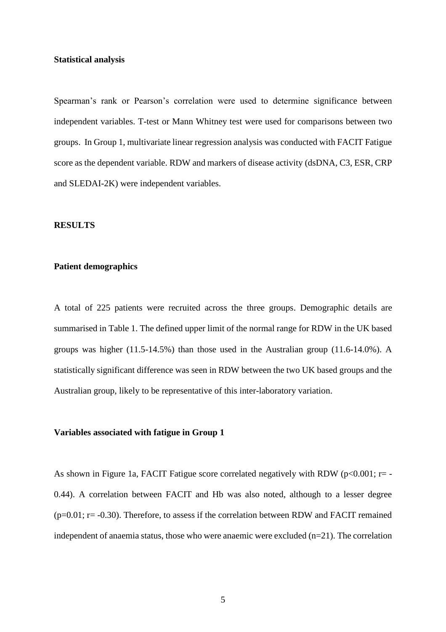#### **Statistical analysis**

Spearman's rank or Pearson's correlation were used to determine significance between independent variables. T-test or Mann Whitney test were used for comparisons between two groups. In Group 1, multivariate linear regression analysis was conducted with FACIT Fatigue score as the dependent variable. RDW and markers of disease activity (dsDNA, C3, ESR, CRP and SLEDAI-2K) were independent variables.

#### **RESULTS**

# **Patient demographics**

A total of 225 patients were recruited across the three groups. Demographic details are summarised in Table 1. The defined upper limit of the normal range for RDW in the UK based groups was higher  $(11.5-14.5\%)$  than those used in the Australian group  $(11.6-14.0\%)$ . A statistically significant difference was seen in RDW between the two UK based groups and the Australian group, likely to be representative of this inter-laboratory variation.

## **Variables associated with fatigue in Group 1**

As shown in Figure 1a, FACIT Fatigue score correlated negatively with RDW ( $p<0.001$ ;  $r=$  -0.44). A correlation between FACIT and Hb was also noted, although to a lesser degree  $(p=0.01; r=.0.30)$ . Therefore, to assess if the correlation between RDW and FACIT remained independent of anaemia status, those who were anaemic were excluded (n=21). The correlation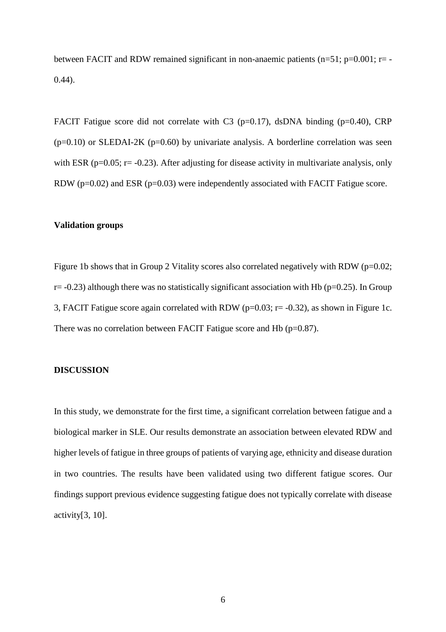between FACIT and RDW remained significant in non-anaemic patients (n=51; p=0.001; r= -0.44).

FACIT Fatigue score did not correlate with C3 (p=0.17), dsDNA binding (p=0.40), CRP  $(p=0.10)$  or SLEDAI-2K  $(p=0.60)$  by univariate analysis. A borderline correlation was seen with ESR ( $p=0.05$ ;  $r=-0.23$ ). After adjusting for disease activity in multivariate analysis, only RDW (p=0.02) and ESR (p=0.03) were independently associated with FACIT Fatigue score.

#### **Validation groups**

Figure 1b shows that in Group 2 Vitality scores also correlated negatively with RDW (p=0.02;  $r=-0.23$ ) although there was no statistically significant association with Hb ( $p=0.25$ ). In Group 3, FACIT Fatigue score again correlated with RDW ( $p=0.03$ ;  $r=-0.32$ ), as shown in Figure 1c. There was no correlation between FACIT Fatigue score and Hb (p=0.87).

#### **DISCUSSION**

In this study, we demonstrate for the first time, a significant correlation between fatigue and a biological marker in SLE. Our results demonstrate an association between elevated RDW and higher levels of fatigue in three groups of patients of varying age, ethnicity and disease duration in two countries. The results have been validated using two different fatigue scores. Our findings support previous evidence suggesting fatigue does not typically correlate with disease activity[3, 10].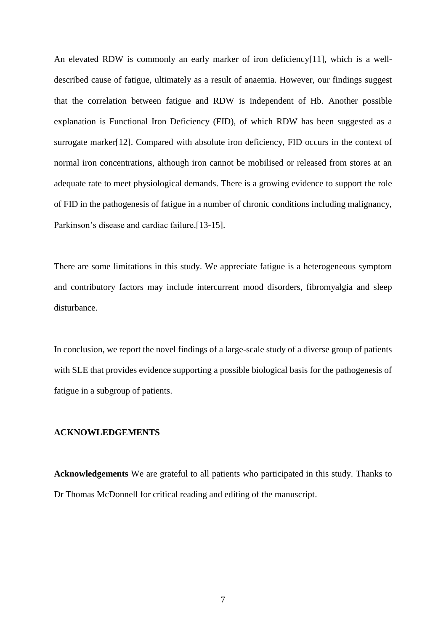An elevated RDW is commonly an early marker of iron deficiency[11], which is a welldescribed cause of fatigue, ultimately as a result of anaemia. However, our findings suggest that the correlation between fatigue and RDW is independent of Hb. Another possible explanation is Functional Iron Deficiency (FID), of which RDW has been suggested as a surrogate marker[12]. Compared with absolute iron deficiency, FID occurs in the context of normal iron concentrations, although iron cannot be mobilised or released from stores at an adequate rate to meet physiological demands. There is a growing evidence to support the role of FID in the pathogenesis of fatigue in a number of chronic conditions including malignancy, Parkinson's disease and cardiac failure.[13-15].

There are some limitations in this study. We appreciate fatigue is a heterogeneous symptom and contributory factors may include intercurrent mood disorders, fibromyalgia and sleep disturbance.

In conclusion, we report the novel findings of a large-scale study of a diverse group of patients with SLE that provides evidence supporting a possible biological basis for the pathogenesis of fatigue in a subgroup of patients.

## **ACKNOWLEDGEMENTS**

**Acknowledgements** We are grateful to all patients who participated in this study. Thanks to Dr Thomas McDonnell for critical reading and editing of the manuscript.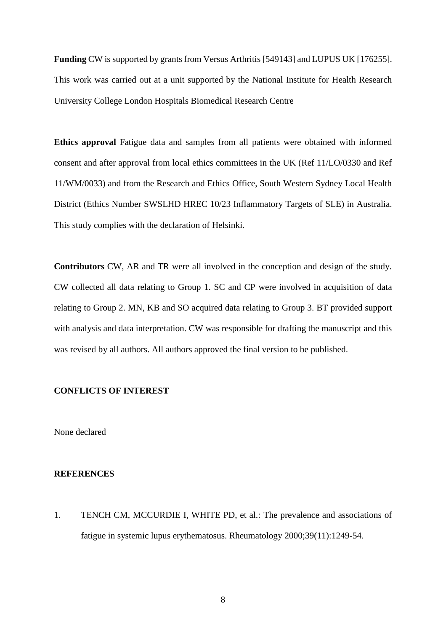**Funding** CW is supported by grants from Versus Arthritis [549143] and LUPUS UK [176255]. This work was carried out at a unit supported by the National Institute for Health Research University College London Hospitals Biomedical Research Centre

**Ethics approval** Fatigue data and samples from all patients were obtained with informed consent and after approval from local ethics committees in the UK (Ref 11/LO/0330 and Ref 11/WM/0033) and from the Research and Ethics Office, South Western Sydney Local Health District (Ethics Number SWSLHD HREC 10/23 Inflammatory Targets of SLE) in Australia. This study complies with the declaration of Helsinki.

**Contributors** CW, AR and TR were all involved in the conception and design of the study. CW collected all data relating to Group 1. SC and CP were involved in acquisition of data relating to Group 2. MN, KB and SO acquired data relating to Group 3. BT provided support with analysis and data interpretation. CW was responsible for drafting the manuscript and this was revised by all authors. All authors approved the final version to be published.

# **CONFLICTS OF INTEREST**

None declared

# **REFERENCES**

1. TENCH CM, MCCURDIE I, WHITE PD, et al.: The prevalence and associations of fatigue in systemic lupus erythematosus. Rheumatology 2000;39(11):1249-54.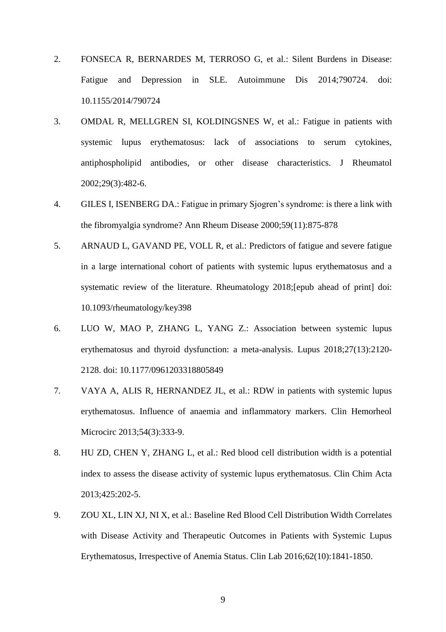- 2. FONSECA R, BERNARDES M, TERROSO G, et al.: Silent Burdens in Disease: Fatigue and Depression in SLE. Autoimmune Dis 2014;790724. doi: 10.1155/2014/790724
- 3. OMDAL R, MELLGREN SI, KOLDINGSNES W, et al.: Fatigue in patients with systemic lupus erythematosus: lack of associations to serum cytokines, antiphospholipid antibodies, or other disease characteristics. J Rheumatol 2002;29(3):482-6.
- 4. GILES I, ISENBERG DA.: Fatigue in primary Sjogren's syndrome: is there a link with the fibromyalgia syndrome? Ann Rheum Disease 2000;59(11):875-878
- 5. ARNAUD L, GAVAND PE, VOLL R, et al.: Predictors of fatigue and severe fatigue in a large international cohort of patients with systemic lupus erythematosus and a systematic review of the literature. Rheumatology 2018;[epub ahead of print] doi: 10.1093/rheumatology/key398
- 6. LUO W, MAO P, ZHANG L, YANG Z.: Association between systemic lupus erythematosus and thyroid dysfunction: a meta-analysis. Lupus 2018;27(13):2120- 2128. doi: 10.1177/0961203318805849
- 7. VAYA A, ALIS R, HERNANDEZ JL, et al.: RDW in patients with systemic lupus erythematosus. Influence of anaemia and inflammatory markers. Clin Hemorheol Microcirc 2013;54(3):333-9.
- 8. HU ZD, CHEN Y, ZHANG L, et al.: Red blood cell distribution width is a potential index to assess the disease activity of systemic lupus erythematosus. Clin Chim Acta 2013;425:202-5.
- 9. ZOU XL, LIN XJ, NI X, et al.: Baseline Red Blood Cell Distribution Width Correlates with Disease Activity and Therapeutic Outcomes in Patients with Systemic Lupus Erythematosus, Irrespective of Anemia Status. Clin Lab 2016;62(10):1841-1850.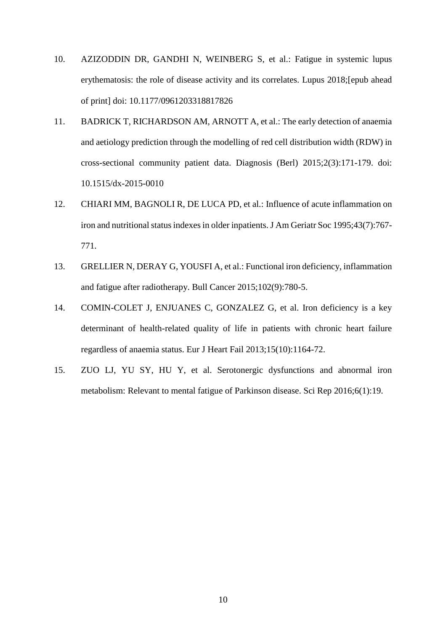- 10. AZIZODDIN DR, GANDHI N, WEINBERG S, et al.: Fatigue in systemic lupus erythematosis: the role of disease activity and its correlates. Lupus 2018;[epub ahead of print] doi: 10.1177/0961203318817826
- 11. BADRICK T, RICHARDSON AM, ARNOTT A, et al.: The early detection of anaemia and aetiology prediction through the modelling of red cell distribution width (RDW) in cross-sectional community patient data. Diagnosis (Berl) 2015;2(3):171-179. doi: 10.1515/dx-2015-0010
- 12. CHIARI MM, BAGNOLI R, DE LUCA PD, et al.: Influence of acute inflammation on iron and nutritional status indexes in older inpatients. J Am Geriatr Soc 1995;43(7):767- 771.
- 13. GRELLIER N, DERAY G, YOUSFI A, et al.: Functional iron deficiency, inflammation and fatigue after radiotherapy. Bull Cancer 2015;102(9):780-5.
- 14. COMIN-COLET J, ENJUANES C, GONZALEZ G, et al. Iron deficiency is a key determinant of health-related quality of life in patients with chronic heart failure regardless of anaemia status. Eur J Heart Fail 2013;15(10):1164-72.
- 15. ZUO LJ, YU SY, HU Y, et al. Serotonergic dysfunctions and abnormal iron metabolism: Relevant to mental fatigue of Parkinson disease. Sci Rep 2016;6(1):19.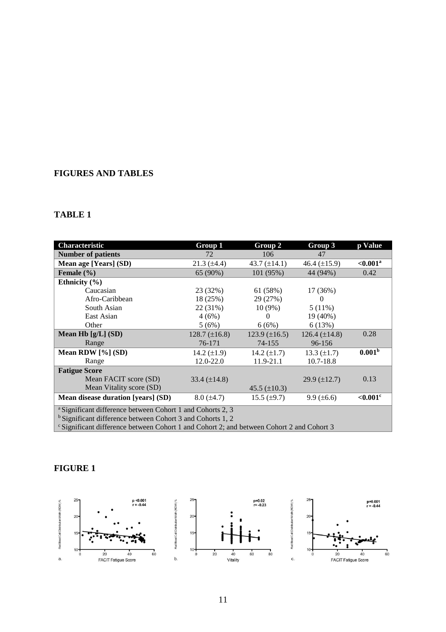# **FIGURES AND TABLES**

# **TABLE 1**

| <b>Characteristic</b>                                                                                                                          | Group 1            | Group 2              | Group 3             | p Value                |
|------------------------------------------------------------------------------------------------------------------------------------------------|--------------------|----------------------|---------------------|------------------------|
| <b>Number of patients</b>                                                                                                                      | 72                 | 106                  | 47                  |                        |
| Mean age [Years] (SD)                                                                                                                          | $21.3 \ (\pm 4.4)$ | 43.7 $(\pm 14.1)$    | 46.4 $(\pm 15.9)$   | $< 0.001$ <sup>a</sup> |
| Female $(\% )$                                                                                                                                 | 65 (90%)           | 101 (95%)            | 44 (94%)            | 0.42                   |
| Ethnicity $(\% )$                                                                                                                              |                    |                      |                     |                        |
| Caucasian                                                                                                                                      | 23 (32%)           | 61 (58%)             | 17 (36%)            |                        |
| Afro-Caribbean                                                                                                                                 | 18 (25%)           | 29 (27%)             | $\Omega$            |                        |
| South Asian                                                                                                                                    | 22 (31%)           | $10(9\%)$            | $5(11\%)$           |                        |
| East Asian                                                                                                                                     | 4(6%)              | $\theta$             | 19 (40%)            |                        |
| Other                                                                                                                                          | 5(6%)              | 6(6%)                | 6(13%)              |                        |
| Mean Hb $[g/L]$ (SD)                                                                                                                           | $128.7 (\pm 16.8)$ | $123.9 \ (\pm 16.5)$ | $126.4 (\pm 14.8)$  | 0.28                   |
| Range                                                                                                                                          | 76-171             | 74-155               | 96-156              |                        |
| Mean RDW $[\%]$ (SD)                                                                                                                           | 14.2 $(\pm 1.9)$   | 14.2 $(\pm 1.7)$     | 13.3 $(\pm 1.7)$    | 0.001 <sup>b</sup>     |
| Range                                                                                                                                          | 12.0-22.0          | 11.9-21.1            | $10.7 - 18.8$       |                        |
| <b>Fatigue Score</b>                                                                                                                           |                    |                      |                     |                        |
| Mean FACIT score (SD)                                                                                                                          | 33.4 $(\pm 14.8)$  |                      | $29.9 \ (\pm 12.7)$ | 0.13                   |
| Mean Vitality score (SD)                                                                                                                       |                    | $45.5 (\pm 10.3)$    |                     |                        |
| Mean disease duration [years] (SD)                                                                                                             | $8.0 \ (\pm 4.7)$  | $15.5 \ (\pm 9.7)$   | $9.9 \ (\pm 6.6)$   | $< 0.001$ <sup>c</sup> |
| <sup>a</sup> Significant difference between Cohort 1 and Cohorts 2, 3<br><sup>b</sup> Significant difference between Cohort 3 and Cohorts 1, 2 |                    |                      |                     |                        |

<sup>c</sup> Significant difference between Cohort 1 and Cohort 2; and between Cohort 2 and Cohort 3

# **FIGURE 1**